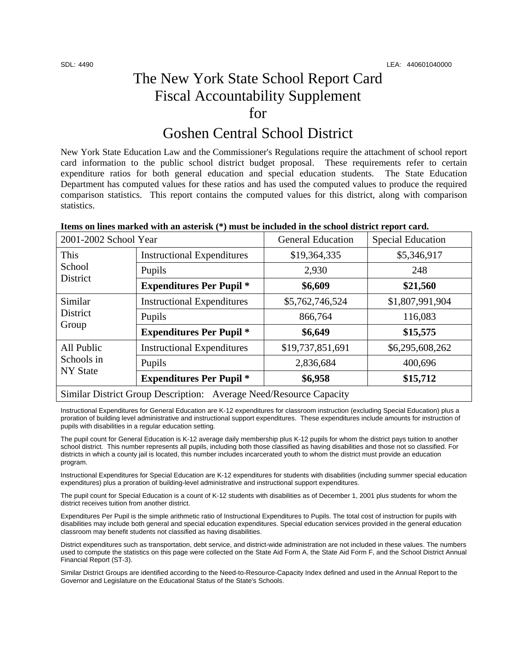# The New York State School Report Card Fiscal Accountability Supplement for

## Goshen Central School District

New York State Education Law and the Commissioner's Regulations require the attachment of school report card information to the public school district budget proposal. These requirements refer to certain expenditure ratios for both general education and special education students. The State Education Department has computed values for these ratios and has used the computed values to produce the required comparison statistics. This report contains the computed values for this district, along with comparison statistics.

| Items on lines marked with an asterisk (*) must be included in the school district report card. |  |
|-------------------------------------------------------------------------------------------------|--|
|                                                                                                 |  |

| 2001-2002 School Year                                              |                                   | <b>General Education</b> | <b>Special Education</b> |  |
|--------------------------------------------------------------------|-----------------------------------|--------------------------|--------------------------|--|
| This<br>School<br>District                                         | <b>Instructional Expenditures</b> | \$19,364,335             | \$5,346,917              |  |
|                                                                    | Pupils                            | 2,930                    | 248                      |  |
|                                                                    | <b>Expenditures Per Pupil *</b>   | \$6,609                  | \$21,560                 |  |
| Similar<br>District<br>Group                                       | <b>Instructional Expenditures</b> | \$5,762,746,524          | \$1,807,991,904          |  |
|                                                                    | Pupils                            | 866,764                  | 116,083                  |  |
|                                                                    | <b>Expenditures Per Pupil *</b>   | \$6,649                  | \$15,575                 |  |
| All Public<br>Schools in<br>NY State                               | <b>Instructional Expenditures</b> | \$19,737,851,691         | \$6,295,608,262          |  |
|                                                                    | Pupils                            | 2,836,684                | 400,696                  |  |
|                                                                    | <b>Expenditures Per Pupil *</b>   | \$6,958                  | \$15,712                 |  |
| Similar District Group Description: Average Need/Resource Capacity |                                   |                          |                          |  |

Instructional Expenditures for General Education are K-12 expenditures for classroom instruction (excluding Special Education) plus a proration of building level administrative and instructional support expenditures. These expenditures include amounts for instruction of pupils with disabilities in a regular education setting.

The pupil count for General Education is K-12 average daily membership plus K-12 pupils for whom the district pays tuition to another school district. This number represents all pupils, including both those classified as having disabilities and those not so classified. For districts in which a county jail is located, this number includes incarcerated youth to whom the district must provide an education program.

Instructional Expenditures for Special Education are K-12 expenditures for students with disabilities (including summer special education expenditures) plus a proration of building-level administrative and instructional support expenditures.

The pupil count for Special Education is a count of K-12 students with disabilities as of December 1, 2001 plus students for whom the district receives tuition from another district.

Expenditures Per Pupil is the simple arithmetic ratio of Instructional Expenditures to Pupils. The total cost of instruction for pupils with disabilities may include both general and special education expenditures. Special education services provided in the general education classroom may benefit students not classified as having disabilities.

District expenditures such as transportation, debt service, and district-wide administration are not included in these values. The numbers used to compute the statistics on this page were collected on the State Aid Form A, the State Aid Form F, and the School District Annual Financial Report (ST-3).

Similar District Groups are identified according to the Need-to-Resource-Capacity Index defined and used in the Annual Report to the Governor and Legislature on the Educational Status of the State's Schools.